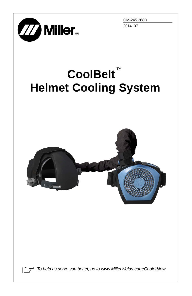



# **CoolBelt**-**Helmet Cooling System**



ि ज

*To help us serve you better, go to www.MillerWelds.com/CoolerNow*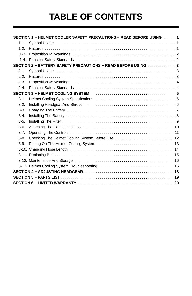## **TABLE OF CONTENTS**

|           | SECTION 1 - HELMET COOLER SAFETY PRECAUTIONS - READ BEFORE USING  1 |  |
|-----------|---------------------------------------------------------------------|--|
| $1 - 1$ . |                                                                     |  |
| $1 - 2$   |                                                                     |  |
|           |                                                                     |  |
|           |                                                                     |  |
|           | SECTION 2 - BATTERY SAFETY PRECAUTIONS - READ BEFORE USING  3       |  |
| $2 - 1$ . |                                                                     |  |
| $2 - 2$   |                                                                     |  |
| $2-3.$    |                                                                     |  |
| $2 - 4$   |                                                                     |  |
|           |                                                                     |  |
| $3-1.$    |                                                                     |  |
| $3-2.$    |                                                                     |  |
| $3-3.$    |                                                                     |  |
| $3-4$     |                                                                     |  |
| $3-5.$    |                                                                     |  |
| $3-6.$    |                                                                     |  |
| $3 - 7$ . |                                                                     |  |
| $3-8.$    |                                                                     |  |
| $3-9$     |                                                                     |  |
|           |                                                                     |  |
|           |                                                                     |  |
|           |                                                                     |  |
|           |                                                                     |  |
|           |                                                                     |  |
|           |                                                                     |  |
|           |                                                                     |  |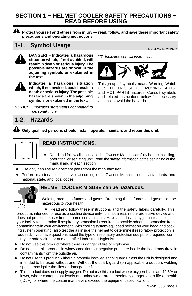#### **SECTION 1 − HELMET COOLER SAFETY PRECAUTIONS − READ BEFORE USING**



**Protect yourself and others from injury — read, follow, and save these important safety precautions and operating instructions.**

### **1-1.** Symbol Usage **Helmet Cooler 2013-09**



**DANGER! – Indicates a hazardous**  $\mathbb{F}$  Indicates special instructions. *Indicates special instructions.* **situation which, if not avoided, will result in death or serious injury. The possible hazards are shown in the adjoining symbols or explained in the text.**



**Indicates a hazardous situation which, if not avoided, could result in death or serious injury. The possible hazards are shown in the adjoining symbols or explained in the text.**

*NOTICE − Indicates statements not related to personal injury.*



This group of symbols means Warning! Watch Out! ELECTRIC SHOCK, MOVING PARTS, and HOT PARTS hazards. Consult symbols and related instructions below for necessary actions to avoid the hazards.

#### **1-2. Hazards**

**Only qualified persons should install, operate, maintain, and repair this unit.**



#### **READ INSTRUCTIONS.**

- Read and follow all labels and the Owner's Manual carefully before installing, operating, or servicing unit. Read the safety information at the beginning of the manual and in each section.
- Use only genuine replacement parts from the manufacturer.
- Perform maintenance and service according to the Owner's Manuals, industry standards, and national, state, and local codes.



#### **HELMET COOLER MISUSE can be hazardous.**

Welding produces fumes and gases. Breathing these fumes and gases can be hazardous to your health.

• Read and follow these instructions and the safety labels carefully. This product is intended for use as a cooling device only. It is not a respiratory protective device and does not protect the user from airborne contaminants. Have an industrial hygienist test the air in your facility to determine if respiratory protection is required to provide adequate protection from contaminants in your environment. With cooling system-equipped helmet on your head and cooling system operating, also test the air inside the helmet to determine if respiratory protection is required. If you have questions about the type of respiratory protection equipment required, consult your safety director and a certified Industrial Hygienist.

- Do not use this product where there is danger of fire or explosion.
- Do not use this product in windy conditions or negative pressure inside the hood may draw in contaminants from the outside air.
- Do not use this product without a properly installed spark guard unless the unit is designed and intended to be used without one. Without the spark guard (on applicable products), welding sparks may ignite the filter or damage the filter.
- This product does not supply oxygen. Do not use this product where oxygen levels are 19.5% or lower, where contaminant levels are unknown or are immediately dangerous to life or health (IDLH), or where the contaminant levels exceed the equipment specifications.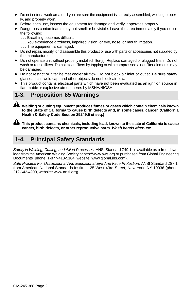- <span id="page-3-0"></span> Do not enter a work area until you are sure the equipment is correctly assembled, working properly, and properly worn.
- Before each use, inspect the equipment for damage and verify it operates properly.
- Dangerous contaminants may not smell or be visible. Leave the area immediately if you notice the following:
	- ... Breathing becomes difficult.
	- ... You experience dizziness, impaired vision, or eye, nose, or mouth irritation.
	- ... The equipment is damaged.
- Do not repair, modify, or disassemble this product or use with parts or accessories not supplied by the manufacturer.
- Do not operate unit without properly installed filter(s). Replace damaged or plugged filters. Do not wash or reuse filters. Do not clean filters by tapping or with compressed air or filter elements may be damaged.
- Do not restrict or alter helmet cooler air flow. Do not block air inlet or outlet. Be sure safety glasses, hair, weld cap, and other objects do not block air flow.
- This product contains electrical parts which have not been evaluated as an ignition source in flammable or explosive atmospheres by MSHA/NIOSH.

#### **1-3. Proposition 65 Warnings**

**Welding or cutting equipment produces fumes or gases which contain chemicals known to the State of California to cause birth defects and, in some cases, cancer. (California Health & Safety Code Section 25249.5 et seq.)**



**This product contains chemicals, including lead, known to the state of California to cause cancer, birth defects, or other reproductive harm.** *Wash hands after use.*

#### **1-4. Principal Safety Standards**

*Safety in Welding, Cutting, and Allied Processes,* ANSI Standard Z49.1, is available as a free download from the American Welding Society at http://www.aws.org or purchased from Global Engineering Documents (phone: 1-877-413-5184, website: www.global.ihs.com).

*Safe Practice For Occupational And Educational Eye And Face Protection,* ANSI Standard Z87.1, from American National Standards Institute, 25 West 43rd Street, New York, NY 10036 (phone: 212-642-4900, website: www.ansi.org).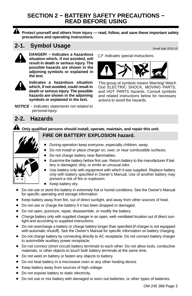#### **SECTION 2 − BATTERY SAFETY PRECAUTIONS − READ BEFORE USING**



**Protect yourself and others from injury — read, follow, and save these important safety precautions and operating instructions.**

#### **2-1.** Symbol Usage Service Contract Batt 2013-10



DANGER! – Indicates a hazardous <sub>17</sub> Indicates special instructions. *Indicates special instructions.* **situation which, if not avoided, will result in death or serious injury. The possible hazards are shown in the adjoining symbols or explained in the text.**



**Indicates a hazardous situation which, if not avoided, could result in death or serious injury. The possible hazards are shown in the adjoining symbols or explained in the text.**

*NOTICE − Indicates statements not related to personal injury.*



This group of symbols means Warning! Watch Out! ELECTRIC SHOCK, MOVING PARTS, and HOT PARTS hazards. Consult symbols and related instructions below for necessary actions to avoid the hazards.

#### **2-2. Hazards**

A **Only qualified persons should install, operate, maintain, and repair this unit.**



#### **FIRE OR BATTERY EXPLOSION hazard.**

- During operation keep everyone, especially children, away.
- Do not install or place charger on, over, or near combustible surfaces.
- Do not charge battery near flammables.
- Examine the battery before first use. Return battery to the manufacturer if battery is damaged, dirty, or emits an unusual odor.
- Use battery only with equipment with which it was supplied. Replace battery only with battery specified in Owner's Manual. Use of another battery may present a risk of fire or explosion.
- Keep battery dry.
- Do not use or store the battery in extremely hot or humid conditions. See the Owner's Manual for specific operating and storage information.
- Keep battery away from fire, out of direct sunlight, and away from other sources of heat.
- Do not use or charge the battery if it has been dropped or damaged.
- Do not open, puncture, repair, disassemble, or modify the battery.
- Charge battery only with supplied charger in an open, well−ventilated location out of direct sunlight and according to supplied instructions.
- Do not overcharge a battery or charge battery longer than specified (if charger is not equipped with automatic shutoff). See the Owner's Manual for specific information on battery charging.
- Do not charge battery by connecting directly to AC receptacle. Do not connect battery charger to automobile auxiliary power receptacle.
- Do not connect (short circuit) battery terminals to each other. Do not allow tools, conductive materials, or other objects to touch both battery terminals at the same time.
- Do not weld on battery or fasten any objects to battery.
- Do not heat battery in a microwave oven or any other heating device.
- Keep battery away from sources of high voltage.
- Do not expose battery to static electricity.
- $\bullet$  Do not use or mix battery with damaged or worn out batteries, or other types of batteries.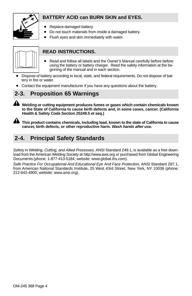

#### **BATTERY ACID can BURN SKIN and EYES.**

- Replace damaged battery.
- Do not touch materials from inside a damaged battery.
- Flush eyes and skin immediately with water.



#### **READ INSTRUCTIONS.**

- Read and follow all labels and the Owner's Manual carefully before before using the battery or battery charger. Read the safety information at the beginning of the manual and in each section.
- Dispose of battery according to local, state, and federal requirements. Do not dispose of battery in fire or water.
- Contact the equipment manufacturer if you have any questions about the battery.

#### **2-3. Proposition 65 Warnings**

**Welding or cutting equipment produces fumes or gases which contain chemicals known to the State of California to cause birth defects and, in some cases, cancer. (California Health & Safety Code Section 25249.5 et seq.)**

**This product contains chemicals, including lead, known to the state of California to cause cancer, birth defects, or other reproductive harm.** *Wash hands after use.*

#### **2-4. Principal Safety Standards**

*Safety in Welding, Cutting, and Allied Processes,* ANSI Standard Z49.1, is available as a free download from the American Welding Society at http://www.aws.org or purchased from Global Engineering Documents (phone: 1-877-413-5184, website: www.global.ihs.com).

*Safe Practice For Occupational And Educational Eye And Face Protection,* ANSI Standard Z87.1, from American National Standards Institute, 25 West 43rd Street, New York, NY 10036 (phone: 212-642-4900, website: www.ansi.org).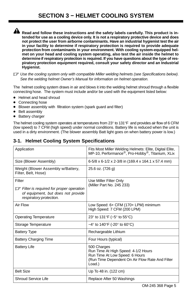#### **SECTION 3 − HELMET COOLING SYSTEM**

<span id="page-6-0"></span>**A** Read and follow these instructions and the safety labels carefully. This product is in**tended for use as a cooling device only. It is not a respiratory protective device and does not protect the user from airborne contaminants. Have an industrial hygienist test the air in your facility to determine if respiratory protection is required to provide adequate protection from contaminants in your environment. With cooling system-equipped helmet on your head and cooling system operating, also test the air inside the helmet to determine if respiratory protection is required. If you have questions about the type of respiratory protection equipment required, consult your safety director and an Industrial Hygienist.**

- *Use the cooling system only with compatible Miller welding helmets (see Specifications below). See the welding helmet Owner's Manual for information on helmet operation.*

The helmet cooling system draws in air and blows it into the welding helmet shroud through a flexible connecting hose. The system must include and/or be used with the equipment listed below:

- Helmet and head shroud
- Connecting hose
- Blower assembly with filtration system (spark guard and filter)
- Belt assembly
- Battery charger

The helmet cooling system operates at temperatures from 23° to 131°F and provides air flow of 6 CFM (low speed) to 7 CFM (high speed) under normal conditions. Battery life is reduced when the unit is used in a dirty environment. (The blower assembly Batt light goes on when battery power is low.)

#### **3-1. Helmet Cooling System Specifications**

| Application                                                                                                                     | Fits Most Miller Welding Helmets: Elite, Digital Elite,<br>MP-10, Performance <sup>®</sup> , Pro-Hobby <sup>®</sup> , Titanium, XLix              |  |
|---------------------------------------------------------------------------------------------------------------------------------|---------------------------------------------------------------------------------------------------------------------------------------------------|--|
| Size (Blower Assembly)                                                                                                          | 6-5/8 x 6-1/2 x 2-3/8 in (169.4 x 164.1 x 57.4 mm)                                                                                                |  |
| Weight (Blower Assembly w/Battery,<br>Filter, Belt, Hose)                                                                       | 25.6 oz. (726 g)                                                                                                                                  |  |
| Filter<br>$\mathbb{F}$ Filter is required for proper operation<br>of equipment, but does not provide<br>respiratory protection. | Use Miller Filter Only<br>(Miller Part No. 245 233)                                                                                               |  |
| Air Flow                                                                                                                        | Low Speed: 6+ CFM (170+ LPM) minimum<br>High Speed: 7 CFM (200 LPM)                                                                               |  |
| <b>Operating Temperature</b>                                                                                                    | 23 $\degree$ to 131 $\degree$ F (-5 $\degree$ to 55 $\degree$ C)                                                                                  |  |
| Storage Temperature                                                                                                             | $-4^{\circ}$ to 140 $^{\circ}$ F (-20 $^{\circ}$ to 60 $^{\circ}$ C)                                                                              |  |
| <b>Battery Type</b>                                                                                                             | Rechargeable Lithium                                                                                                                              |  |
| <b>Battery Charging Time</b>                                                                                                    | Four Hours (typical)                                                                                                                              |  |
| <b>Battery Life</b>                                                                                                             | 500 Charges<br>Run Time At High Speed: 4-1/2 Hours<br>Run Time At Low Speed: 6 Hours<br>(Run Time Dependent On Air Flow Rate And Filter<br>Load.) |  |
| <b>Belt Size</b>                                                                                                                | Up To 48 in. (122 cm)                                                                                                                             |  |
| Shroud Service Life                                                                                                             | Replace After 50 Washings                                                                                                                         |  |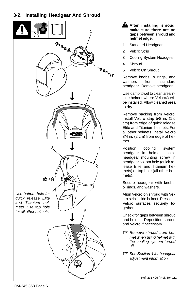#### <span id="page-7-0"></span>**3-2. Installing Headgear And Shroud**



- **. After installing shroud, make sure there are no gaps between shroud and helmet edge.**
- Standard Headgear
- 2 Velcro Strip
- 3 Cooling System Headgear
- 4 Shroud
- 5 Velcro On Shroud

Remove knobs, o–rings, and<br>washers from standard washers headgear. Remove headgear.

Use damp towel to clean area inside helmet where Velcro® will be installed. Allow cleaned area to dry.

Remove backing from Velcro. Install Velcro strip 5/8 in. (1.5 cm) from edge of quick release Elite and Titanium helmets. For all other helmets, install Velcro 3/4 in. (2 cm) from edge of helmet.

Position cooling system headgear in helmet. Install headgear mounting screw in headgear bottom hole (quick release Elite and Titanium helmets) or top hole (all other helmets).

Secure headgear with knobs, o−rings, and washers.

Align Velcro on shroud with Velcro strip inside helmet. Press the Velcro surfaces securely together.

Check for gaps between shroud and helmet. Reposition shroud and Velcro if necessary.

- *Remove shroud from helmet when using helmet with the cooling system turned off.*
- *See Section [4](#page-19-0) for headgear adjustment information.*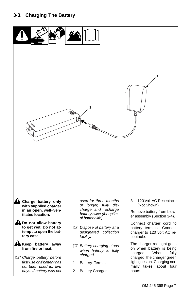<span id="page-8-0"></span>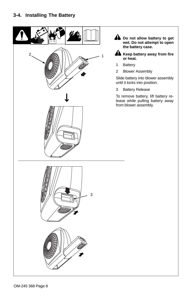<span id="page-9-0"></span>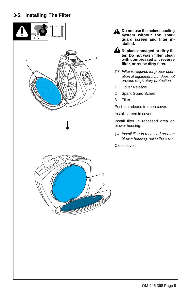<span id="page-10-0"></span>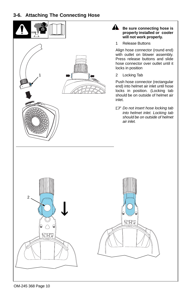#### <span id="page-11-0"></span>**3-6. Attaching The Connecting Hose**

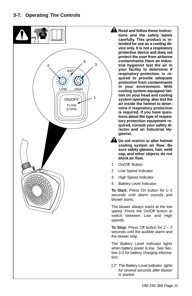#### <span id="page-12-0"></span>**3-7. Operating The Controls**



**. Read and follow these instructions and the safety labels carefully. This product is intended for use as a cooling device only. It is not a respiratory protective device and does not protect the user from airborne contaminants. Have an industrial hygienist test the air in your facility to determine if respiratory protection is required to provide adequate protection from contaminants in your environment. With cooling system-equipped helmet on your head and cooling system operating, also test the air inside the helmet to determine if respiratory protection is required. If you have questions about the type of respiratory protection equipment required, consult your safety director and an Industrial Hygienist.**

**. Do not restrict or alter helmet cooling system air flow. Be sure safety glasses, hair, weld cap, and other objects do not block air flow.**

- 1 On/Off Button
- 2 Low Speed Indicator
- 3 High Speed Indicator
- 4 Battery Level Indicator

**To Start:** Press On button for 1−2 seconds until alarm sounds and blower starts.

The blower always starts at the low speed. Press the On/Off button to switch between Low and High speeds.

**To Stop:** Press Off button for 2 − 3 seconds until the audible alarm and the blower stop.

The Battery Level indicator lights when battery power is low. See Section [3-3](#page-8-0) for battery charging information.

- *The Battery Level indicator lights for several seconds after blower is started.*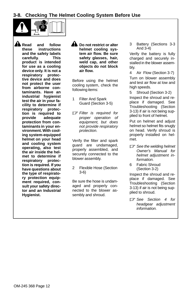<span id="page-13-0"></span>**3-8. Checking The Helmet Cooling System Before Use**



**A** Read and follow<br>these instructions **these instructions and the safety labels carefully. This product is intended for use as a cooling device only. It is not a respiratory protective device and does not protect the user from airborne contaminants. Have an industrial hygienist test the air in your facility to determine if respiratory protection is required to provide adequate protection from contaminants in your environment. With cooling system-equipped helmet on your head and cooling system operating, also test the air inside the helmet to determine if respiratory protection is required. If you have questions about the type of respiratory protection equipment required, consult your safety director and an Industrial Hygienist.**

**. Do not restrict or alter helmet cooling system air flow. Be sure safety glasses, hair, weld cap, and other objects do not block air flow.**

Before using the helmet cooling system, check the following items:

- 1 Filter And Spark Guard (Section [3-5\)](#page-10-0)
- *Filter is required for proper operation of equipment, but does not provide respiratory protection.*

Verify the filter and spark guard are undamaged, properly assembled, and securely connected to the blower assembly.

2 Flexible Hose (Section [3-6\)](#page-11-0)

Be sure the hose is undamaged and properly connected to the blower assembly and shroud.

3 Battery (Sections [3-3](#page-8-0) And [3-4](#page-9-0))

Verify the battery is fully charged and securely installed in the blower assembly.

4 Air Flow (Section [3-7\)](#page-12-0) Turn on blower assembly and test air flow at low and high speeds.

5 Shroud (Section [3-2](#page-7-0)) Inspect the shroud and replace if damaged. See Troubleshooting (Section [3-13](#page-17-0)) if air is not being supplied to front of helmet.

Put on helmet and adjust helmet so helmet fits snugly on head. Verify shroud is properly installed on helmet.

- *See the welding helmet Owner's Manual for helmet adjustment information.*
- 6 Fabric Shroud (Section [3-2\)](#page-7-0)

Inspect the shroud and replace if damaged. See Troubleshooting (Section [3-13](#page-17-0)) if air is not being supplied to shroud.

- *See Section [4](#page-19-0) for headgear adjustment information.*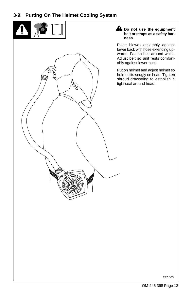#### <span id="page-14-0"></span>**3-9. Putting On The Helmet Cooling System**

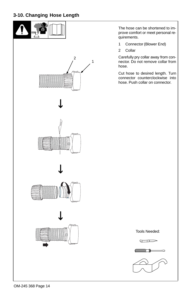#### <span id="page-15-0"></span>**3-10. Changing Hose Length**



OM-245 368 Page 14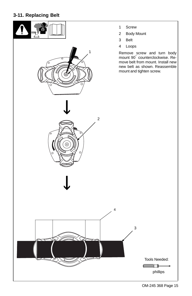#### <span id="page-16-0"></span>**3-11. Replacing Belt**

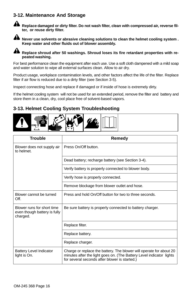#### <span id="page-17-0"></span>**3-12. Maintenance And Storage**



**A** Replace damaged or dirty filter. Do not wash filter, clean with compressed air, reverse fil**ter, or reuse dirty filter.**

A Never use solvents or abrasive cleaning solutions to clean the helmet cooling system . **Keep water and other fluids out of blower assembly.**

**A** Replace shroud after 50 washings. Shroud loses its fire retardant properties with re**peated washing.**

For best performance clean the equipment after each use. Use a soft cloth dampened with a mild soap and water solution to wipe all external surfaces clean. Allow to air dry.

Product usage, workplace contamination levels, and other factors affect the life of the filter. Replace filter if air flow is reduced due to a dirty filter (see Section [3-5\)](#page-10-0).

Inspect connecting hose and replace if damaged or if inside of hose is extremely dirty.

If the helmet cooling system will not be used for an extended period, remove the filter and battery and store them in a clean, dry, cool place free of solvent-based vapors.

#### **3-13. Helmet Cooling System Troubleshooting**



| <b>Trouble</b>                                                         | Remedy                                                                                                                                                                                       |
|------------------------------------------------------------------------|----------------------------------------------------------------------------------------------------------------------------------------------------------------------------------------------|
| Blower does not supply air<br>to helmet.                               | Press On/Off button.                                                                                                                                                                         |
|                                                                        | Dead battery; recharge battery (see Section 3-4).                                                                                                                                            |
|                                                                        | Verify battery is properly connected to blower body.                                                                                                                                         |
|                                                                        | Verify hose is properly connected.                                                                                                                                                           |
|                                                                        | Remove blockage from blower outlet and hose.                                                                                                                                                 |
| Blower cannot be turned<br>Off.                                        | Press and hold On/Off button for two to three seconds.                                                                                                                                       |
| Blower runs for short time<br>even though battery is fully<br>charged. | Be sure battery is properly connected to battery charger.                                                                                                                                    |
|                                                                        | Replace filter.                                                                                                                                                                              |
|                                                                        | Replace battery.                                                                                                                                                                             |
|                                                                        | Replace charger.                                                                                                                                                                             |
| <b>Battery Level Indicator</b><br>light is On.                         | Charge or replace the battery. The blower will operate for about 20<br>minutes after the light goes on. (The Battery Level indicator lights<br>for several seconds after blower is started.) |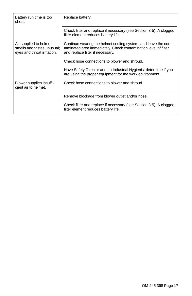| Battery run time is too<br>short.                                                   | Replace battery.                                                                                                                                                      |  |
|-------------------------------------------------------------------------------------|-----------------------------------------------------------------------------------------------------------------------------------------------------------------------|--|
|                                                                                     | Check filter and replace if necessary (see Section 3-5). A clogged<br>filter element reduces battery life.                                                            |  |
| Air supplied to helmet<br>smells and tastes unusual:<br>eyes and throat irritation. | Continue wearing the helmet cooling system and leave the con-<br>taminated area immediately. Check contamination level of filter,<br>and replace filter if necessary. |  |
|                                                                                     | Check hose connections to blower and shroud.                                                                                                                          |  |
|                                                                                     | Have Safety Director and an Industrial Hygienist determine if you<br>are using the proper equipment for the work environment.                                         |  |
| Blower supplies insuffi-<br>cient air to helmet.                                    | Check hose connections to blower and shroud.                                                                                                                          |  |
|                                                                                     | Remove blockage from blower outlet and/or hose.                                                                                                                       |  |
|                                                                                     | Check filter and replace if necessary (see Section 3-5). A clogged<br>filter element reduces battery life.                                                            |  |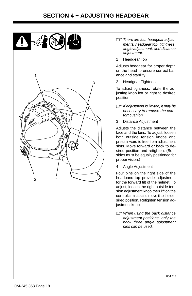#### **SECTION 4 − ADJUSTING HEADGEAR**

<span id="page-19-0"></span>

- *There are four headgear adjustments: headgear top, tightness, angle adjustment, and distance adjustment.*
- 1 Headgear Top

Adjusts headgear for proper depth on the head to ensure correct balance and stability.

2 Headgear Tightness

To adjust tightness, rotate the adjusting knob left or right to desired position.

- *If adjustment is limited, it may be necessary to remove the comfort cushion.*
- 3 Distance Adjustment

Adjusts the distance between the face and the lens. To adjust, loosen both outside tension knobs and press inward to free from adjustment slots. Move forward or back to desired position and retighten. (Both sides must be equally positioned for proper vision.)

4 Angle Adjustment

Four pins on the right side of the headband top provide adjustment for the forward tilt of the helmet. To adjust, loosen the right outside tension adjustment knob then lift on the control arm tab and move it to the desired position. Retighten tension adjustment knob.

- *When using the back distance adjustment positions, only the back three angle adjustment pins can be used.*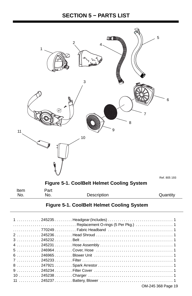#### **SECTION 5 − PARTS LIST**

<span id="page-20-0"></span>

| No. | No. | Description | Quantity |
|-----|-----|-------------|----------|
|     |     |             |          |

#### **Figure 5-1. CoolBelt Helmet Cooling System**

| $\ldots \ldots \ldots \ldots$ 770249 $\ldots \ldots \ldots$ Fabric Headband $\ldots \ldots \ldots \ldots \ldots \ldots \ldots \ldots$ |
|---------------------------------------------------------------------------------------------------------------------------------------|
|                                                                                                                                       |
|                                                                                                                                       |
|                                                                                                                                       |
|                                                                                                                                       |
|                                                                                                                                       |
|                                                                                                                                       |
|                                                                                                                                       |
|                                                                                                                                       |
|                                                                                                                                       |
|                                                                                                                                       |
| OM-245 368 Page 19                                                                                                                    |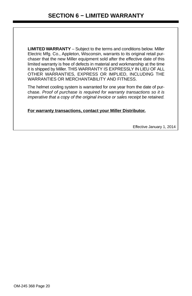<span id="page-21-0"></span>**LIMITED WARRANTY** – Subject to the terms and conditions below. Miller Electric Mfg. Co., Appleton, Wisconsin, warrants to its original retail purchaser that the new Miller equipment sold after the effective date of this limited warranty is free of defects in material and workmanship at the time it is shipped by Miller. THIS WARRANTY IS EXPRESSLY IN LIEU OF ALL OTHER WARRANTIES, EXPRESS OR IMPLIED, INCLUDING THE WARRANTIES OR MERCHANTABILITY AND FITNESS.

The helmet cooling system is warranted for one year from the date of purchase. *Proof of purchase is required for warranty transactions so it is imperative that a copy of the original invoice or sales receipt be retained.*

**For warranty transactions, contact your Miller Distributor.**

Effective January 1, 2014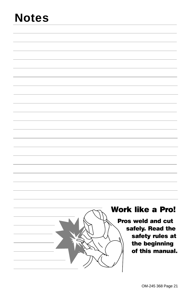# **Notes**